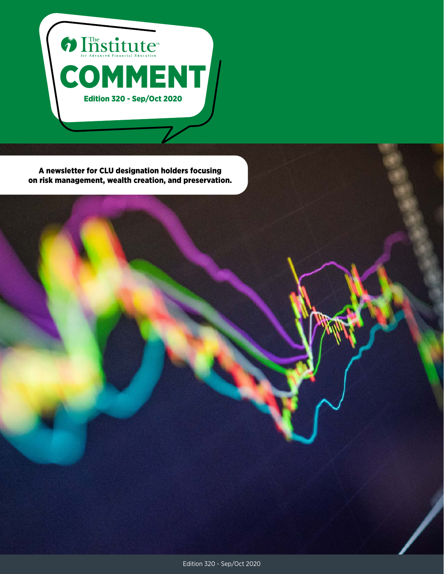

A newsletter for CLU designation holders focusing on risk management, wealth creation, and preservation.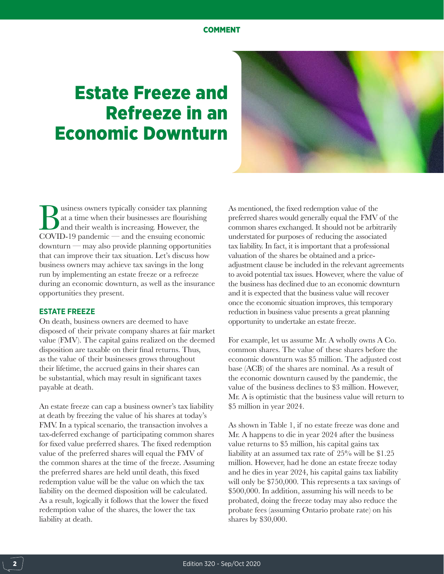# Estate Freeze and Refreeze in an Economic Downturn



Business owners typically consider tax planning<br>at a time when their businesses are flourishing<br>and their wealth is increasing. However, the<br>COVID-19 pandemic — and the ensuing economic at a time when their businesses are flourishing and their wealth is increasing. However, the COVID-19 pandemic — and the ensuing economic downturn — may also provide planning opportunities that can improve their tax situation. Let's discuss how business owners may achieve tax savings in the long run by implementing an estate freeze or a refreeze during an economic downturn, as well as the insurance opportunities they present.

## **ESTATE FREEZE**

On death, business owners are deemed to have disposed of their private company shares at fair market value (FMV). The capital gains realized on the deemed disposition are taxable on their final returns. Thus, as the value of their businesses grows throughout their lifetime, the accrued gains in their shares can be substantial, which may result in significant taxes payable at death.

An estate freeze can cap a business owner's tax liability at death by freezing the value of his shares at today's FMV. In a typical scenario, the transaction involves a tax-deferred exchange of participating common shares for fixed value preferred shares. The fixed redemption value of the preferred shares will equal the FMV of the common shares at the time of the freeze. Assuming the preferred shares are held until death, this fixed redemption value will be the value on which the tax liability on the deemed disposition will be calculated. As a result, logically it follows that the lower the fixed redemption value of the shares, the lower the tax liability at death.

As mentioned, the fixed redemption value of the preferred shares would generally equal the FMV of the common shares exchanged. It should not be arbitrarily understated for purposes of reducing the associated tax liability. In fact, it is important that a professional valuation of the shares be obtained and a priceadjustment clause be included in the relevant agreements to avoid potential tax issues. However, where the value of the business has declined due to an economic downturn and it is expected that the business value will recover once the economic situation improves, this temporary reduction in business value presents a great planning opportunity to undertake an estate freeze.

For example, let us assume Mr. A wholly owns A Co. common shares. The value of these shares before the economic downturn was \$5 million. The adjusted cost base (ACB) of the shares are nominal. As a result of the economic downturn caused by the pandemic, the value of the business declines to \$3 million. However, Mr. A is optimistic that the business value will return to \$5 million in year 2024.

As shown in Table 1, if no estate freeze was done and Mr. A happens to die in year 2024 after the business value returns to \$5 million, his capital gains tax liability at an assumed tax rate of 25% will be \$1.25 million. However, had he done an estate freeze today and he dies in year 2024, his capital gains tax liability will only be \$750,000. This represents a tax savings of \$500,000. In addition, assuming his will needs to be probated, doing the freeze today may also reduce the probate fees (assuming Ontario probate rate) on his shares by \$30,000.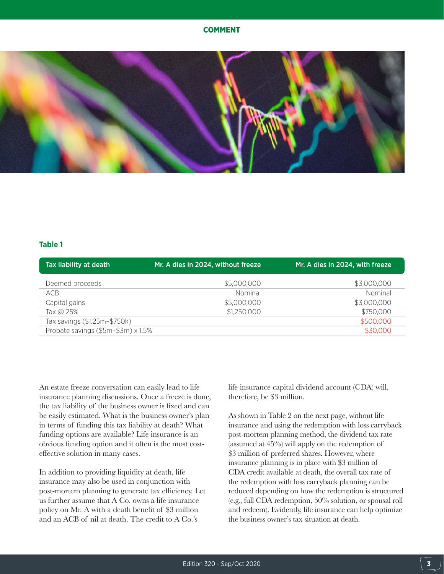

## **Table 1**

| Tax liability at death             | Mr. A dies in 2024, without freeze | Mr. A dies in 2024, with freeze |
|------------------------------------|------------------------------------|---------------------------------|
| Deemed proceeds                    | \$5,000,000                        | \$3,000,000                     |
| ACB                                | Nominal                            | Nominal                         |
| Capital gains                      | \$5,000,000                        | \$3,000,000                     |
| Tax @ 25%                          | \$1,250,000                        | \$750,000                       |
| Tax savings (\$1.25m-\$750k)       |                                    | \$500,000                       |
| Probate savings (\$5m-\$3m) x 1.5% |                                    | \$30,000                        |

An estate freeze conversation can easily lead to life insurance planning discussions. Once a freeze is done, the tax liability of the business owner is fixed and can be easily estimated. What is the business owner's plan in terms of funding this tax liability at death? What funding options are available? Life insurance is an obvious funding option and it often is the most costeffective solution in many cases.

In addition to providing liquidity at death, life insurance may also be used in conjunction with post-mortem planning to generate tax efficiency. Let us further assume that A Co. owns a life insurance policy on Mr. A with a death benefit of \$3 million and an ACB of nil at death. The credit to A Co.'s

life insurance capital dividend account (CDA) will, therefore, be \$3 million.

As shown in Table 2 on the next page, without life insurance and using the redemption with loss carryback post-mortem planning method, the dividend tax rate (assumed at 45%) will apply on the redemption of \$3 million of preferred shares. However, where insurance planning is in place with \$3 million of CDA credit available at death, the overall tax rate of the redemption with loss carryback planning can be reduced depending on how the redemption is structured (e.g., full CDA redemption, 50% solution, or spousal roll and redeem). Evidently, life insurance can help optimize the business owner's tax situation at death.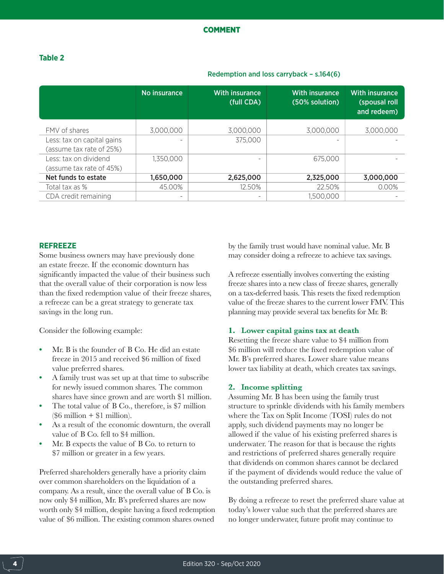# **Table 2**

|                            | No insurance | <b>With insurance</b><br>(full CDA) | <b>With insurance</b><br>(50% solution) | <b>With insurance</b><br>(spousal roll<br>and redeem) |
|----------------------------|--------------|-------------------------------------|-----------------------------------------|-------------------------------------------------------|
| FMV of shares              | 3,000,000    | 3,000,000                           | 3,000,000                               | 3,000,000                                             |
| Less: tax on capital gains |              | 375,000                             |                                         |                                                       |
| (assume tax rate of 25%)   |              |                                     |                                         |                                                       |
| Less: tax on dividend      | 1,350,000    |                                     | 675,000                                 |                                                       |
| (assume tax rate of 45%)   |              |                                     |                                         |                                                       |
| Net funds to estate        | 1,650,000    | 2,625,000                           | 2,325,000                               | 3,000,000                                             |
| Total tax as %             | 45.00%       | 12.50%                              | 22.50%                                  | 0.00%                                                 |
| CDA credit remaining       | -            |                                     | .500,000                                |                                                       |

## Redemption and loss carryback – s.164(6)

# **REFREEZE**

Some business owners may have previously done an estate freeze. If the economic downturn has significantly impacted the value of their business such that the overall value of their corporation is now less than the fixed redemption value of their freeze shares, a refreeze can be a great strategy to generate tax savings in the long run.

Consider the following example:

- **•** Mr. B is the founder of B Co. He did an estate freeze in 2015 and received \$6 million of fixed value preferred shares.
- **•** A family trust was set up at that time to subscribe for newly issued common shares. The common shares have since grown and are worth \$1 million.
- **•** The total value of B Co., therefore, is \$7 million  $($6 \text{ million} + $1 \text{ million}).$
- **•** As a result of the economic downturn, the overall value of B Co. fell to \$4 million.
- **•** Mr. B expects the value of B Co. to return to \$7 million or greater in a few years.

Preferred shareholders generally have a priority claim over common shareholders on the liquidation of a company. As a result, since the overall value of B Co. is now only \$4 million, Mr. B's preferred shares are now worth only \$4 million, despite having a fixed redemption value of \$6 million. The existing common shares owned

by the family trust would have nominal value. Mr. B may consider doing a refreeze to achieve tax savings.

A refreeze essentially involves converting the existing freeze shares into a new class of freeze shares, generally on a tax-deferred basis. This resets the fixed redemption value of the freeze shares to the current lower FMV. This planning may provide several tax benefits for Mr. B:

# **1. Lower capital gains tax at death**

Resetting the freeze share value to \$4 million from \$6 million will reduce the fixed redemption value of Mr. B's preferred shares. Lower share value means lower tax liability at death, which creates tax savings.

# **2. Income splitting**

Assuming Mr. B has been using the family trust structure to sprinkle dividends with his family members where the Tax on Split Income (TOSI) rules do not apply, such dividend payments may no longer be allowed if the value of his existing preferred shares is underwater. The reason for that is because the rights and restrictions of preferred shares generally require that dividends on common shares cannot be declared if the payment of dividends would reduce the value of the outstanding preferred shares.

By doing a refreeze to reset the preferred share value at today's lower value such that the preferred shares are no longer underwater, future profit may continue to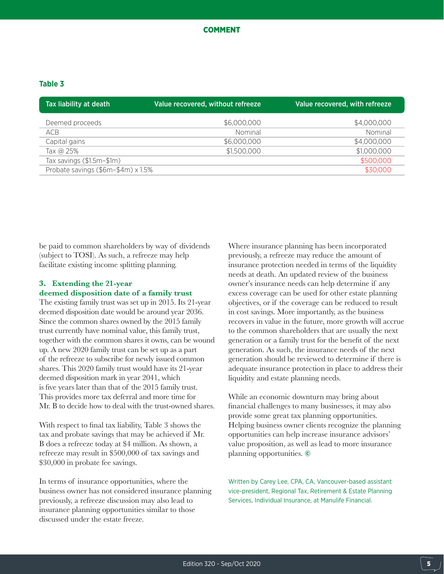## **Table 3**

| Tax liability at death             | Value recovered, without refreeze | Value recovered, with refreeze |
|------------------------------------|-----------------------------------|--------------------------------|
| Deemed proceeds                    | \$6,000,000                       | \$4,000,000                    |
| ACB                                | Nominal                           | Nominal                        |
| Capital gains                      | \$6,000,000                       | \$4,000,000                    |
| Tax @ 25%                          | \$1,500,000                       | \$1,000,000                    |
| Tax savings (\$1.5m-\$1m)          |                                   | \$500,000                      |
| Probate savings (\$6m-\$4m) x 1.5% |                                   | \$30,000                       |

be paid to common shareholders by way of dividends (subject to TOSI). As such, a refreeze may help facilitate existing income splitting planning.

# **3. Extending the 21-year deemed disposition date of a family trust**

The existing family trust was set up in 2015. Its 21-year deemed disposition date would be around year 2036. Since the common shares owned by the 2015 family trust currently have nominal value, this family trust, together with the common shares it owns, can be wound up. A new 2020 family trust can be set up as a part of the refreeze to subscribe for newly issued common shares. This 2020 family trust would have its 21-year deemed disposition mark in year 2041, which is five years later than that of the 2015 family trust. This provides more tax deferral and more time for Mr. B to decide how to deal with the trust-owned shares.

With respect to final tax liability, Table 3 shows the tax and probate savings that may be achieved if Mr. B does a refreeze today at \$4 million. As shown, a refreeze may result in \$500,000 of tax savings and \$30,000 in probate fee savings.

In terms of insurance opportunities, where the business owner has not considered insurance planning previously, a refreeze discussion may also lead to insurance planning opportunities similar to those discussed under the estate freeze.

Where insurance planning has been incorporated previously, a refreeze may reduce the amount of insurance protection needed in terms of the liquidity needs at death. An updated review of the business owner's insurance needs can help determine if any excess coverage can be used for other estate planning objectives, or if the coverage can be reduced to result in cost savings. More importantly, as the business recovers in value in the future, more growth will accrue to the common shareholders that are usually the next generation or a family trust for the benefit of the next generation. As such, the insurance needs of the next generation should be reviewed to determine if there is adequate insurance protection in place to address their liquidity and estate planning needs.

While an economic downturn may bring about financial challenges to many businesses, it may also provide some great tax planning opportunities. Helping business owner clients recognize the planning opportunities can help increase insurance advisors' value proposition, as well as lead to more insurance planning opportunities. ©

Written by Carey Lee, CPA, CA, Vancouver-based assistant vice-president, Regional Tax, Retirement & Estate Planning Services, Individual Insurance, at Manulife Financial.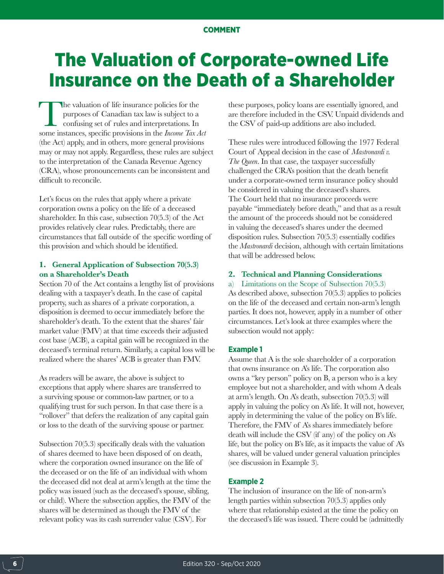# The Valuation of Corporate-owned Life Insurance on the Death of a Shareholder

The valuation of life insurance policies for the purposes of Canadian tax law is subject to a confusing set of rules and interpretations. In some instances, specific provisions in the *Income Tax A* purposes of Canadian tax law is subject to a confusing set of rules and interpretations. In some instances, specific provisions in the *Income Tax Act* (the Act) apply, and in others, more general provisions may or may not apply. Regardless, these rules are subject to the interpretation of the Canada Revenue Agency (CRA), whose pronouncements can be inconsistent and difficult to reconcile.

Let's focus on the rules that apply where a private corporation owns a policy on the life of a deceased shareholder. In this case, subsection 70(5.3) of the Act provides relatively clear rules. Predictably, there are circumstances that fall outside of the specific wording of this provision and which should be identified.

## **1. General Application of Subsection 70(5.3) on a Shareholder's Death**

Section 70 of the Act contains a lengthy list of provisions dealing with a taxpayer's death. In the case of capital property, such as shares of a private corporation, a disposition is deemed to occur immediately before the shareholder's death. To the extent that the shares' fair market value (FMV) at that time exceeds their adjusted cost base (ACB), a capital gain will be recognized in the deceased's terminal return. Similarly, a capital loss will be realized where the shares' ACB is greater than FMV.

As readers will be aware, the above is subject to exceptions that apply where shares are transferred to a surviving spouse or common-law partner, or to a qualifying trust for such person. In that case there is a "rollover" that defers the realization of any capital gain or loss to the death of the surviving spouse or partner.

Subsection 70(5.3) specifically deals with the valuation of shares deemed to have been disposed of on death, where the corporation owned insurance on the life of the deceased or on the life of an individual with whom the deceased did not deal at arm's length at the time the policy was issued (such as the deceased's spouse, sibling, or child). Where the subsection applies, the FMV of the shares will be determined as though the FMV of the relevant policy was its cash surrender value (CSV). For

these purposes, policy loans are essentially ignored, and are therefore included in the CSV. Unpaid dividends and the CSV of paid-up additions are also included.

These rules were introduced following the 1977 Federal Court of Appeal decision in the case of *Mastronardi v. The Queen*. In that case, the taxpayer successfully challenged the CRA's position that the death benefit under a corporate-owned term insurance policy should be considered in valuing the deceased's shares. The Court held that no insurance proceeds were payable "immediately before death," and that as a result the amount of the proceeds should not be considered in valuing the deceased's shares under the deemed disposition rules. Subsection 70(5.3) essentially codifies the *Mastronardi* decision, although with certain limitations that will be addressed below.

## **2. Technical and Planning Considerations**

a) Limitations on the Scope of Subsection 70(5.3) As described above, subsection 70(5.3) applies to policies on the life of the deceased and certain non-arm's length parties. It does not, however, apply in a number of other circumstances. Let's look at three examples where the subsection would not apply:

### **Example 1**

Assume that A is the sole shareholder of a corporation that owns insurance on A's life. The corporation also owns a "key person" policy on B, a person who is a key employee but not a shareholder, and with whom A deals at arm's length. On A's death, subsection 70(5.3) will apply in valuing the policy on A's life. It will not, however, apply in determining the value of the policy on B's life. Therefore, the FMV of A's shares immediately before death will include the CSV (if any) of the policy on A's life, but the policy on B's life, as it impacts the value of A's shares, will be valued under general valuation principles (see discussion in Example 3).

## **Example 2**

The inclusion of insurance on the life of non-arm's length parties within subsection 70(5.3) applies only where that relationship existed at the time the policy on the deceased's life was issued. There could be (admittedly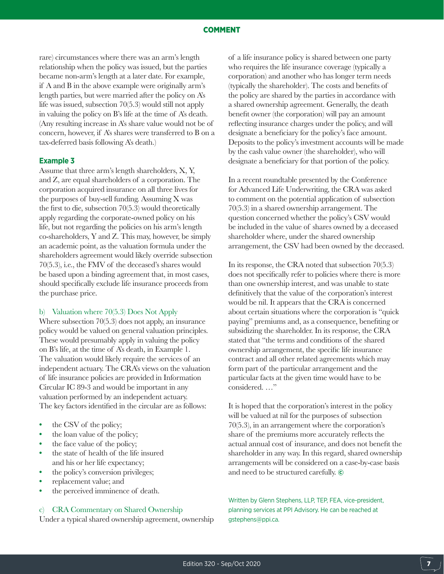rare) circumstances where there was an arm's length relationship when the policy was issued, but the parties became non-arm's length at a later date. For example, if A and B in the above example were originally arm's length parties, but were married after the policy on A's life was issued, subsection 70(5.3) would still not apply in valuing the policy on B's life at the time of A's death. (Any resulting increase in A's share value would not be of concern, however, if A's shares were transferred to B on a tax-deferred basis following A's death.)

#### **Example 3**

Assume that three arm's length shareholders, X, Y, and Z, are equal shareholders of a corporation. The corporation acquired insurance on all three lives for the purposes of buy-sell funding. Assuming X was the first to die, subsection 70(5.3) would theoretically apply regarding the corporate-owned policy on his life, but not regarding the policies on his arm's length co-shareholders, Y and Z. This may, however, be simply an academic point, as the valuation formula under the shareholders agreement would likely override subsection 70(5.3), i.e., the FMV of the deceased's shares would be based upon a binding agreement that, in most cases, should specifically exclude life insurance proceeds from the purchase price.

#### b) Valuation where 70(5.3) Does Not Apply

Where subsection 70(5.3) does not apply, an insurance policy would be valued on general valuation principles. These would presumably apply in valuing the policy on B's life, at the time of A's death, in Example 1. The valuation would likely require the services of an independent actuary. The CRA's views on the valuation of life insurance policies are provided in Information Circular IC 89-3 and would be important in any valuation performed by an independent actuary. The key factors identified in the circular are as follows:

- **•** the CSV of the policy;
- **•** the loan value of the policy;
- **•** the face value of the policy;
- **•** the state of health of the life insured and his or her life expectancy;
- **•** the policy's conversion privileges;
- **•** replacement value; and
- the perceived imminence of death.

## c) CRA Commentary on Shared Ownership

Under a typical shared ownership agreement, ownership

of a life insurance policy is shared between one party who requires the life insurance coverage (typically a corporation) and another who has longer term needs (typically the shareholder). The costs and benefits of the policy are shared by the parties in accordance with a shared ownership agreement. Generally, the death benefit owner (the corporation) will pay an amount reflecting insurance charges under the policy, and will designate a beneficiary for the policy's face amount. Deposits to the policy's investment accounts will be made by the cash value owner (the shareholder), who will designate a beneficiary for that portion of the policy.

In a recent roundtable presented by the Conference for Advanced Life Underwriting, the CRA was asked to comment on the potential application of subsection 70(5.3) in a shared ownership arrangement. The question concerned whether the policy's CSV would be included in the value of shares owned by a deceased shareholder where, under the shared ownership arrangement, the CSV had been owned by the deceased.

In its response, the CRA noted that subsection 70(5.3) does not specifically refer to policies where there is more than one ownership interest, and was unable to state definitively that the value of the corporation's interest would be nil. It appears that the CRA is concerned about certain situations where the corporation is "quick paying" premiums and, as a consequence, benefiting or subsidizing the shareholder. In its response, the CRA stated that "the terms and conditions of the shared ownership arrangement, the specific life insurance contract and all other related agreements which may form part of the particular arrangement and the particular facts at the given time would have to be considered. …"

It is hoped that the corporation's interest in the policy will be valued at nil for the purposes of subsection 70(5.3), in an arrangement where the corporation's share of the premiums more accurately reflects the actual annual cost of insurance, and does not benefit the shareholder in any way. In this regard, shared ownership arrangements will be considered on a case-by-case basis and need to be structured carefully. ©

Written by Glenn Stephens, LLP, TEP, FEA, vice-president, planning services at PPI Advisory. He can be reached at gstephens@ppi.ca.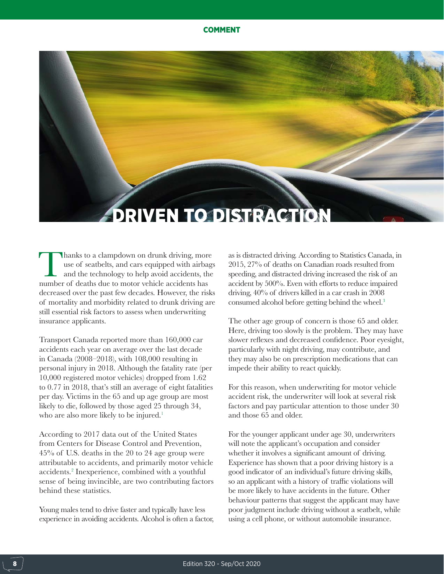# DRIVEN TO DISTRACTION

Thanks to a clampdown on drunk driving, more use of seatbelts, and cars equipped with airbags and the technology to help avoid accidents, the number of deaths due to motor vehicle accidents has use of seatbelts, and cars equipped with airbags and the technology to help avoid accidents, the decreased over the past few decades. However, the risks of mortality and morbidity related to drunk driving are still essential risk factors to assess when underwriting insurance applicants.

Transport Canada reported more than 160,000 car accidents each year on average over the last decade in Canada (2008–2018), with 108,000 resulting in personal injury in 2018. Although the fatality rate (per 10,000 registered motor vehicles) dropped from 1.62 to 0.77 in 2018, that's still an average of eight fatalities per day. Victims in the 65 and up age group are most likely to die, followed by those aged 25 through 34, who are also more likely to be injured.<sup>1</sup>

According to 2017 data out of the United States from Centers for Disease Control and Prevention, 45% of U.S. deaths in the 20 to 24 age group were attributable to accidents, and primarily motor vehicle accidents.2 Inexperience, combined with a youthful sense of being invincible, are two contributing factors behind these statistics.

Young males tend to drive faster and typically have less experience in avoiding accidents. Alcohol is often a factor, as is distracted driving. According to Statistics Canada, in 2015, 27% of deaths on Canadian roads resulted from speeding, and distracted driving increased the risk of an accident by 500%. Even with efforts to reduce impaired driving, 40% of drivers killed in a car crash in 2008 consumed alcohol before getting behind the wheel.<sup>3</sup>

The other age group of concern is those 65 and older. Here, driving too slowly is the problem. They may have slower reflexes and decreased confidence. Poor eyesight, particularly with night driving, may contribute, and they may also be on prescription medications that can impede their ability to react quickly.

For this reason, when underwriting for motor vehicle accident risk, the underwriter will look at several risk factors and pay particular attention to those under 30 and those 65 and older.

For the younger applicant under age 30, underwriters will note the applicant's occupation and consider whether it involves a significant amount of driving. Experience has shown that a poor driving history is a good indicator of an individual's future driving skills, so an applicant with a history of traffic violations will be more likely to have accidents in the future. Other behaviour patterns that suggest the applicant may have poor judgment include driving without a seatbelt, while using a cell phone, or without automobile insurance.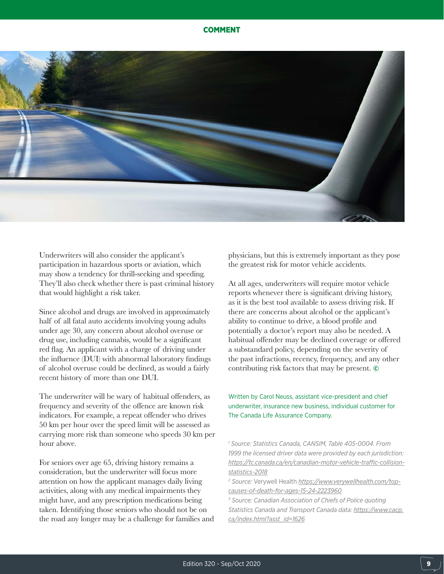

Underwriters will also consider the applicant's participation in hazardous sports or aviation, which may show a tendency for thrill-seeking and speeding. They'll also check whether there is past criminal history that would highlight a risk taker.

Since alcohol and drugs are involved in approximately half of all fatal auto accidents involving young adults under age 30, any concern about alcohol overuse or drug use, including cannabis, would be a significant red flag. An applicant with a charge of driving under the influence (DUI) with abnormal laboratory findings of alcohol overuse could be declined, as would a fairly recent history of more than one DUI.

The underwriter will be wary of habitual offenders, as frequency and severity of the offence are known risk indicators. For example, a repeat offender who drives 50 km per hour over the speed limit will be assessed as carrying more risk than someone who speeds 30 km per hour above.

For seniors over age 65, driving history remains a consideration, but the underwriter will focus more attention on how the applicant manages daily living activities, along with any medical impairments they might have, and any prescription medications being taken. Identifying those seniors who should not be on the road any longer may be a challenge for families and physicians, but this is extremely important as they pose the greatest risk for motor vehicle accidents.

At all ages, underwriters will require motor vehicle reports whenever there is significant driving history, as it is the best tool available to assess driving risk. If there are concerns about alcohol or the applicant's ability to continue to drive, a blood profile and potentially a doctor's report may also be needed. A habitual offender may be declined coverage or offered a substandard policy, depending on the severity of the past infractions, recency, frequency, and any other contributing risk factors that may be present. ©

Written by Carol Neuss, assistant vice-president and chief underwriter, insurance new business, individual customer for The Canada Life Assurance Company.

*1 Source: Statistics Canada, CANSIM, Table 405-0004. From 1999 the licensed driver data were provided by each jurisdiction: [https://tc.canada.ca/en/canadian-motor-vehicle-traffic-collision](https://tc.canada.ca/en/canadian-motor-vehicle-traffic-collision-statistics-2018)[statistics-2018](https://tc.canada.ca/en/canadian-motor-vehicle-traffic-collision-statistics-2018)*

*2 Source:* Verywell Health *[https://www.verywellhealth.com/top](https://www.verywellhealth.com/top-causes-of-death-for-ages-15-24-2223960)[causes-of-death-for-ages-15-24-2223960](https://www.verywellhealth.com/top-causes-of-death-for-ages-15-24-2223960)*

*3 Source: Canadian Association of Chiefs of Police quoting Statistics Canada and Transport Canada data: [https://www.cacp.](https://www.cacp.ca/index.html?asst_id=1626) [ca/index.html?asst\\_id=1626](https://www.cacp.ca/index.html?asst_id=1626)*